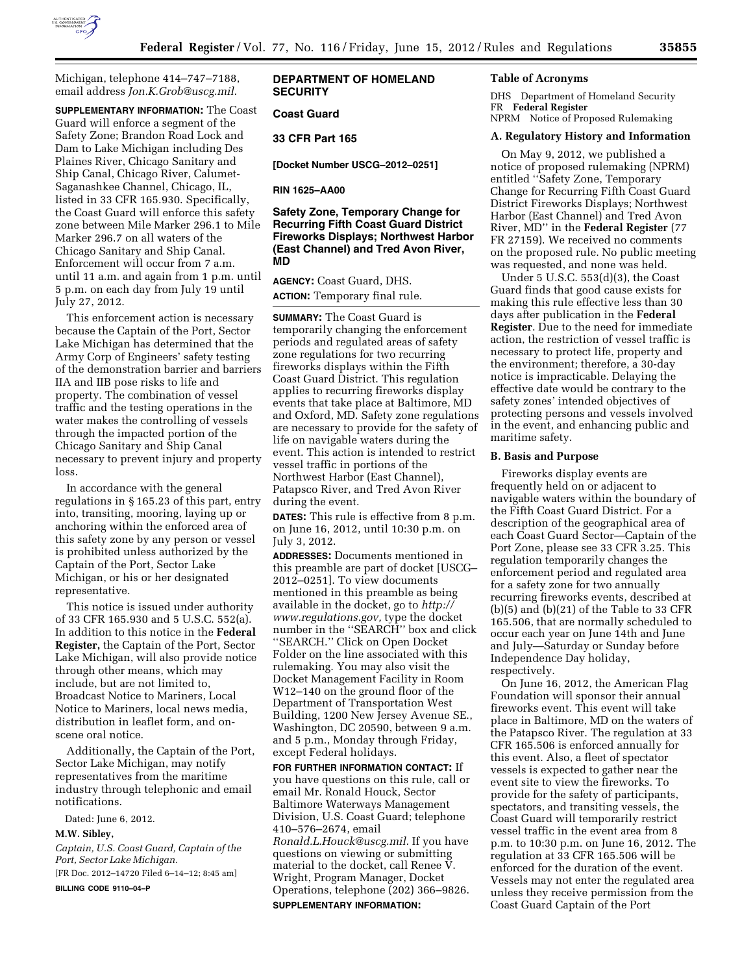

Michigan, telephone 414–747–7188, email address *[Jon.K.Grob@uscg.mil.](mailto:Jon.K.Grob@uscg.mil)* 

**SUPPLEMENTARY INFORMATION:** The Coast Guard will enforce a segment of the Safety Zone; Brandon Road Lock and Dam to Lake Michigan including Des Plaines River, Chicago Sanitary and Ship Canal, Chicago River, Calumet-Saganashkee Channel, Chicago, IL, listed in 33 CFR 165.930. Specifically, the Coast Guard will enforce this safety zone between Mile Marker 296.1 to Mile Marker 296.7 on all waters of the Chicago Sanitary and Ship Canal. Enforcement will occur from 7 a.m. until 11 a.m. and again from 1 p.m. until 5 p.m. on each day from July 19 until July 27, 2012.

This enforcement action is necessary because the Captain of the Port, Sector Lake Michigan has determined that the Army Corp of Engineers' safety testing of the demonstration barrier and barriers IIA and IIB pose risks to life and property. The combination of vessel traffic and the testing operations in the water makes the controlling of vessels through the impacted portion of the Chicago Sanitary and Ship Canal necessary to prevent injury and property loss.

In accordance with the general regulations in § 165.23 of this part, entry into, transiting, mooring, laying up or anchoring within the enforced area of this safety zone by any person or vessel is prohibited unless authorized by the Captain of the Port, Sector Lake Michigan, or his or her designated representative.

This notice is issued under authority of 33 CFR 165.930 and 5 U.S.C. 552(a). In addition to this notice in the **Federal Register,** the Captain of the Port, Sector Lake Michigan, will also provide notice through other means, which may include, but are not limited to, Broadcast Notice to Mariners, Local Notice to Mariners, local news media, distribution in leaflet form, and onscene oral notice.

Additionally, the Captain of the Port, Sector Lake Michigan, may notify representatives from the maritime industry through telephonic and email notifications.

Dated: June 6, 2012.

#### **M.W. Sibley,**

*Captain, U.S. Coast Guard, Captain of the Port, Sector Lake Michigan.*  [FR Doc. 2012–14720 Filed 6–14–12; 8:45 am]

**BILLING CODE 9110–04–P** 

# **DEPARTMENT OF HOMELAND SECURITY**

## **Coast Guard**

**33 CFR Part 165** 

**[Docket Number USCG–2012–0251]** 

#### **RIN 1625–AA00**

# **Safety Zone, Temporary Change for Recurring Fifth Coast Guard District Fireworks Displays; Northwest Harbor (East Channel) and Tred Avon River, MD**

**AGENCY:** Coast Guard, DHS. **ACTION:** Temporary final rule.

**SUMMARY:** The Coast Guard is temporarily changing the enforcement periods and regulated areas of safety zone regulations for two recurring fireworks displays within the Fifth Coast Guard District. This regulation applies to recurring fireworks display events that take place at Baltimore, MD and Oxford, MD. Safety zone regulations are necessary to provide for the safety of life on navigable waters during the event. This action is intended to restrict vessel traffic in portions of the Northwest Harbor (East Channel), Patapsco River, and Tred Avon River during the event.

**DATES:** This rule is effective from 8 p.m. on June 16, 2012, until 10:30 p.m. on July 3, 2012.

**ADDRESSES:** Documents mentioned in this preamble are part of docket [USCG– 2012–0251]. To view documents mentioned in this preamble as being available in the docket, go to *[http://](http://www.regulations.gov) [www.regulations.gov,](http://www.regulations.gov)* type the docket number in the ''SEARCH'' box and click ''SEARCH.'' Click on Open Docket Folder on the line associated with this rulemaking. You may also visit the Docket Management Facility in Room W12–140 on the ground floor of the Department of Transportation West Building, 1200 New Jersey Avenue SE., Washington, DC 20590, between 9 a.m. and 5 p.m., Monday through Friday, except Federal holidays.

**FOR FURTHER INFORMATION CONTACT:** If you have questions on this rule, call or email Mr. Ronald Houck, Sector Baltimore Waterways Management Division, U.S. Coast Guard; telephone 410–576–2674, email *[Ronald.L.Houck@uscg.mil.](mailto:Ronald.L.Houck@uscg.mil)* If you have questions on viewing or submitting material to the docket, call Renee V. Wright, Program Manager, Docket Operations, telephone (202) 366–9826. **SUPPLEMENTARY INFORMATION:** 

## **Table of Acronyms**

DHS Department of Homeland Security FR **Federal Register**  NPRM Notice of Proposed Rulemaking

### **A. Regulatory History and Information**

On May 9, 2012, we published a notice of proposed rulemaking (NPRM) entitled ''Safety Zone, Temporary Change for Recurring Fifth Coast Guard District Fireworks Displays; Northwest Harbor (East Channel) and Tred Avon River, MD'' in the **Federal Register** (77 FR 27159). We received no comments on the proposed rule. No public meeting was requested, and none was held.

Under 5 U.S.C. 553(d)(3), the Coast Guard finds that good cause exists for making this rule effective less than 30 days after publication in the **Federal Register**. Due to the need for immediate action, the restriction of vessel traffic is necessary to protect life, property and the environment; therefore, a 30-day notice is impracticable. Delaying the effective date would be contrary to the safety zones' intended objectives of protecting persons and vessels involved in the event, and enhancing public and maritime safety.

#### **B. Basis and Purpose**

Fireworks display events are frequently held on or adjacent to navigable waters within the boundary of the Fifth Coast Guard District. For a description of the geographical area of each Coast Guard Sector—Captain of the Port Zone, please see 33 CFR 3.25. This regulation temporarily changes the enforcement period and regulated area for a safety zone for two annually recurring fireworks events, described at (b)(5) and (b)(21) of the Table to 33 CFR 165.506, that are normally scheduled to occur each year on June 14th and June and July—Saturday or Sunday before Independence Day holiday, respectively.

On June 16, 2012, the American Flag Foundation will sponsor their annual fireworks event. This event will take place in Baltimore, MD on the waters of the Patapsco River. The regulation at 33 CFR 165.506 is enforced annually for this event. Also, a fleet of spectator vessels is expected to gather near the event site to view the fireworks. To provide for the safety of participants, spectators, and transiting vessels, the Coast Guard will temporarily restrict vessel traffic in the event area from 8 p.m. to 10:30 p.m. on June 16, 2012. The regulation at 33 CFR 165.506 will be enforced for the duration of the event. Vessels may not enter the regulated area unless they receive permission from the Coast Guard Captain of the Port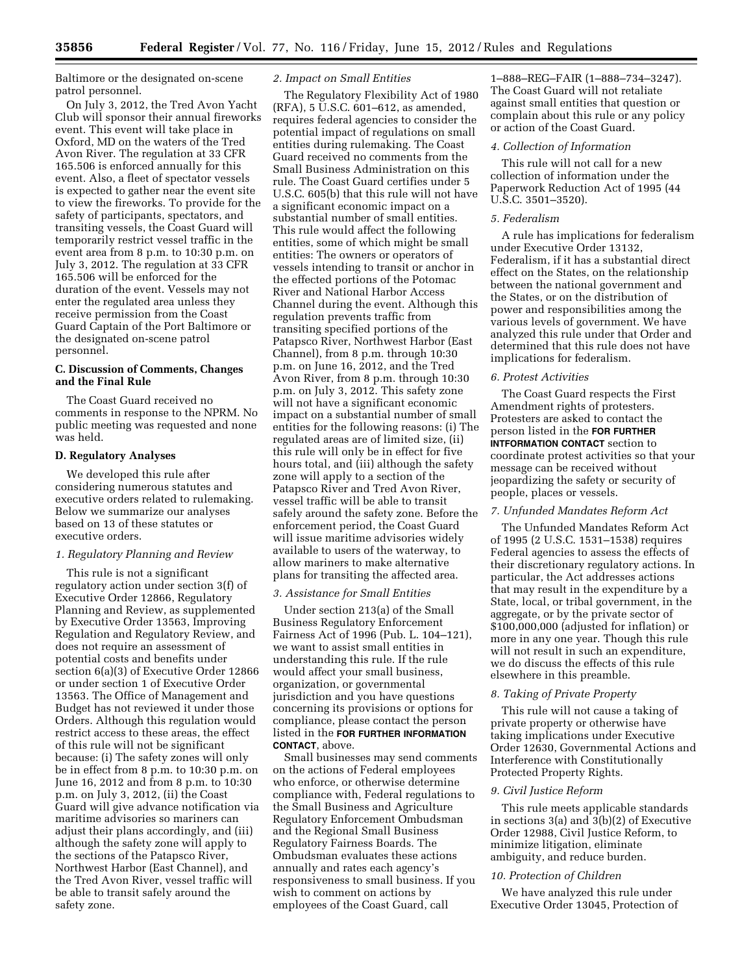Baltimore or the designated on-scene patrol personnel.

On July 3, 2012, the Tred Avon Yacht Club will sponsor their annual fireworks event. This event will take place in Oxford, MD on the waters of the Tred Avon River. The regulation at 33 CFR 165.506 is enforced annually for this event. Also, a fleet of spectator vessels is expected to gather near the event site to view the fireworks. To provide for the safety of participants, spectators, and transiting vessels, the Coast Guard will temporarily restrict vessel traffic in the event area from 8 p.m. to 10:30 p.m. on July 3, 2012. The regulation at 33 CFR 165.506 will be enforced for the duration of the event. Vessels may not enter the regulated area unless they receive permission from the Coast Guard Captain of the Port Baltimore or the designated on-scene patrol personnel.

## **C. Discussion of Comments, Changes and the Final Rule**

The Coast Guard received no comments in response to the NPRM. No public meeting was requested and none was held.

#### **D. Regulatory Analyses**

We developed this rule after considering numerous statutes and executive orders related to rulemaking. Below we summarize our analyses based on 13 of these statutes or executive orders.

## *1. Regulatory Planning and Review*

This rule is not a significant regulatory action under section 3(f) of Executive Order 12866, Regulatory Planning and Review, as supplemented by Executive Order 13563, Improving Regulation and Regulatory Review, and does not require an assessment of potential costs and benefits under section 6(a)(3) of Executive Order 12866 or under section 1 of Executive Order 13563. The Office of Management and Budget has not reviewed it under those Orders. Although this regulation would restrict access to these areas, the effect of this rule will not be significant because: (i) The safety zones will only be in effect from 8 p.m. to 10:30 p.m. on June 16, 2012 and from 8 p.m. to 10:30 p.m. on July 3, 2012, (ii) the Coast Guard will give advance notification via maritime advisories so mariners can adjust their plans accordingly, and (iii) although the safety zone will apply to the sections of the Patapsco River, Northwest Harbor (East Channel), and the Tred Avon River, vessel traffic will be able to transit safely around the safety zone.

## *2. Impact on Small Entities*

The Regulatory Flexibility Act of 1980 (RFA), 5 U.S.C. 601–612, as amended, requires federal agencies to consider the potential impact of regulations on small entities during rulemaking. The Coast Guard received no comments from the Small Business Administration on this rule. The Coast Guard certifies under 5 U.S.C. 605(b) that this rule will not have a significant economic impact on a substantial number of small entities. This rule would affect the following entities, some of which might be small entities: The owners or operators of vessels intending to transit or anchor in the effected portions of the Potomac River and National Harbor Access Channel during the event. Although this regulation prevents traffic from transiting specified portions of the Patapsco River, Northwest Harbor (East Channel), from 8 p.m. through 10:30 p.m. on June 16, 2012, and the Tred Avon River, from 8 p.m. through 10:30 p.m. on July 3, 2012. This safety zone will not have a significant economic impact on a substantial number of small entities for the following reasons: (i) The regulated areas are of limited size, (ii) this rule will only be in effect for five hours total, and (iii) although the safety zone will apply to a section of the Patapsco River and Tred Avon River, vessel traffic will be able to transit safely around the safety zone. Before the enforcement period, the Coast Guard will issue maritime advisories widely available to users of the waterway, to allow mariners to make alternative plans for transiting the affected area.

#### *3. Assistance for Small Entities*

Under section 213(a) of the Small Business Regulatory Enforcement Fairness Act of 1996 (Pub. L. 104–121), we want to assist small entities in understanding this rule. If the rule would affect your small business, organization, or governmental jurisdiction and you have questions concerning its provisions or options for compliance, please contact the person listed in the **FOR FURTHER INFORMATION CONTACT**, above.

Small businesses may send comments on the actions of Federal employees who enforce, or otherwise determine compliance with, Federal regulations to the Small Business and Agriculture Regulatory Enforcement Ombudsman and the Regional Small Business Regulatory Fairness Boards. The Ombudsman evaluates these actions annually and rates each agency's responsiveness to small business. If you wish to comment on actions by employees of the Coast Guard, call

1–888–REG–FAIR (1–888–734–3247). The Coast Guard will not retaliate against small entities that question or complain about this rule or any policy or action of the Coast Guard.

## *4. Collection of Information*

This rule will not call for a new collection of information under the Paperwork Reduction Act of 1995 (44 U.S.C. 3501–3520).

## *5. Federalism*

A rule has implications for federalism under Executive Order 13132, Federalism, if it has a substantial direct effect on the States, on the relationship between the national government and the States, or on the distribution of power and responsibilities among the various levels of government. We have analyzed this rule under that Order and determined that this rule does not have implications for federalism.

#### *6. Protest Activities*

The Coast Guard respects the First Amendment rights of protesters. Protesters are asked to contact the person listed in the **FOR FURTHER INTFORMATION CONTACT** section to coordinate protest activities so that your message can be received without jeopardizing the safety or security of people, places or vessels.

## *7. Unfunded Mandates Reform Act*

The Unfunded Mandates Reform Act of 1995 (2 U.S.C. 1531–1538) requires Federal agencies to assess the effects of their discretionary regulatory actions. In particular, the Act addresses actions that may result in the expenditure by a State, local, or tribal government, in the aggregate, or by the private sector of \$100,000,000 (adjusted for inflation) or more in any one year. Though this rule will not result in such an expenditure, we do discuss the effects of this rule elsewhere in this preamble.

#### *8. Taking of Private Property*

This rule will not cause a taking of private property or otherwise have taking implications under Executive Order 12630, Governmental Actions and Interference with Constitutionally Protected Property Rights.

## *9. Civil Justice Reform*

This rule meets applicable standards in sections 3(a) and 3(b)(2) of Executive Order 12988, Civil Justice Reform, to minimize litigation, eliminate ambiguity, and reduce burden.

## *10. Protection of Children*

We have analyzed this rule under Executive Order 13045, Protection of